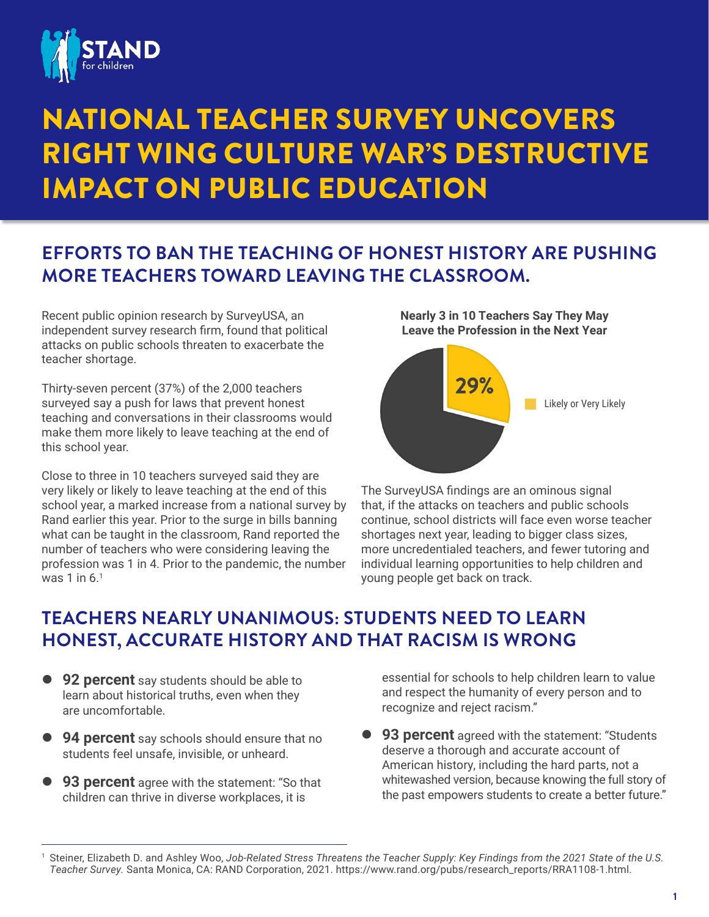

# NATIONAL TEACHER SURVEY UNCOVERS RIGHT WING CULTURE WAR'S DESTRUCTIVE IMPACT ON PUBLIC EDUCATION

# **EFFORTS TO BAN THE TEACHING OF HONEST HISTORY ARE PUSHING MORE TEACHERS TOWARD LEAVING THE CLASSROOM.**

Recent public opinion research by SurveyUSA, an independent survey research firm, found that political attacks on public schools threaten to exacerbate the teacher shortage.

Thirty-seven percent (37%) of the 2,000 teachers surveyed say a push for laws that prevent honest teaching and conversations in their classrooms would make them more likely to leave teaching at the end of this school year.

Close to three in 10 teachers surveyed said they are very likely or likely to leave teaching at the end of this school year, a marked increase from a national survey by Rand earlier this year. Prior to the surge in bills banning what can be taught in the classroom, Rand reported the number of teachers who were considering leaving the profession was 1 in 4. Prior to the pandemic, the number was 1 in  $6<sup>1</sup>$ 

**Nearly 3 in 10 Teachers Say They May Leave the Profession in the Next Year**



The SurveyUSA findings are an ominous signal that, if the attacks on teachers and public schools continue, school districts will face even worse teacher shortages next year, leading to bigger class sizes, more uncredentialed teachers, and fewer tutoring and individual learning opportunities to help children and young people get back on track.

# **TEACHERS NEARLY UNANIMOUS: STUDENTS NEED TO LEARN HONEST, ACCURATE HISTORY AND THAT RACISM IS WRONG**

- **92 percent** say students should be able to learn about historical truths, even when they are uncomfortable.
- **94 percent** say schools should ensure that no students feel unsafe, invisible, or unheard.
- **93 percent** agree with the statement: "So that children can thrive in diverse workplaces, it is

essential for schools to help children learn to value and respect the humanity of every person and to recognize and reject racism."

**93 percent** agreed with the statement: "Students" deserve a thorough and accurate account of American history, including the hard parts, not a whitewashed version, because knowing the full story of the past empowers students to create a better future."

<sup>1</sup> Steiner, Elizabeth D. and Ashley Woo, *Job-Related Stress Threatens the Teacher Supply: Key Findings from the 2021 State of the U.S. Teacher Survey.* Santa Monica, CA: RAND Corporation, 2021. [https://www.rand.org/pubs/research\\_reports/RRA1108-1.html](https://www.rand.org/pubs/research_reports/RRA1108-1.html).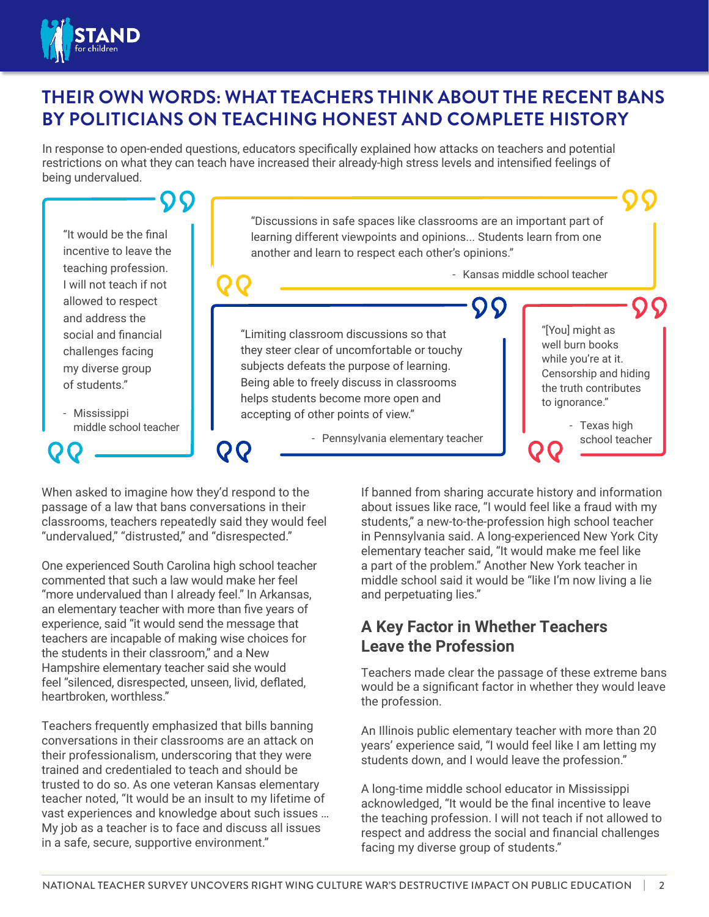

## **THEIR OWN WORDS: WHAT TEACHERS THINK ABOUT THE RECENT BANS BY POLITICIANS ON TEACHING HONEST AND COMPLETE HISTORY**

In response to open-ended questions, educators specifically explained how attacks on teachers and potential restrictions on what they can teach have increased their already-high stress levels and intensified feelings of being undervalued.

"Discussions in safe spaces like classrooms are an important part of "It would be the final learning different viewpoints and opinions... Students learn from one incentive to leave the another and learn to respect each other's opinions." teaching profession. - Kansas middle school teacher I will not teach if not allowed to respect and address the "[You] might as social and financial "Limiting classroom discussions so that well burn books they steer clear of uncomfortable or touchy challenges facing while you're at it. subjects defeats the purpose of learning. my diverse group Censorship and hiding Being able to freely discuss in classrooms of students." the truth contributes helps students become more open and to ignorance." - Mississippi accepting of other points of view." middle school teacher - Texas high - Pennsylvania elementary teacher school teacherQQ

When asked to imagine how they'd respond to the passage of a law that bans conversations in their classrooms, teachers repeatedly said they would feel "undervalued," "distrusted," and "disrespected."

One experienced South Carolina high school teacher commented that such a law would make her feel "more undervalued than I already feel." In Arkansas, an elementary teacher with more than five years of experience, said "it would send the message that teachers are incapable of making wise choices for the students in their classroom," and a New Hampshire elementary teacher said she would feel "silenced, disrespected, unseen, livid, deflated, heartbroken, worthless."

Teachers frequently emphasized that bills banning conversations in their classrooms are an attack on their professionalism, underscoring that they were trained and credentialed to teach and should be trusted to do so. As one veteran Kansas elementary teacher noted, "It would be an insult to my lifetime of vast experiences and knowledge about such issues … My job as a teacher is to face and discuss all issues in a safe, secure, supportive environment."

If banned from sharing accurate history and information about issues like race, "I would feel like a fraud with my students," a new-to-the-profession high school teacher in Pennsylvania said. A long-experienced New York City elementary teacher said, "It would make me feel like a part of the problem." Another New York teacher in middle school said it would be "like I'm now living a lie and perpetuating lies."

## **A Key Factor in Whether Teachers Leave the Profession**

Teachers made clear the passage of these extreme bans would be a significant factor in whether they would leave the profession.

An Illinois public elementary teacher with more than 20 years' experience said, "I would feel like I am letting my students down, and I would leave the profession."

A long-time middle school educator in Mississippi acknowledged, "It would be the final incentive to leave the teaching profession. I will not teach if not allowed to respect and address the social and financial challenges facing my diverse group of students."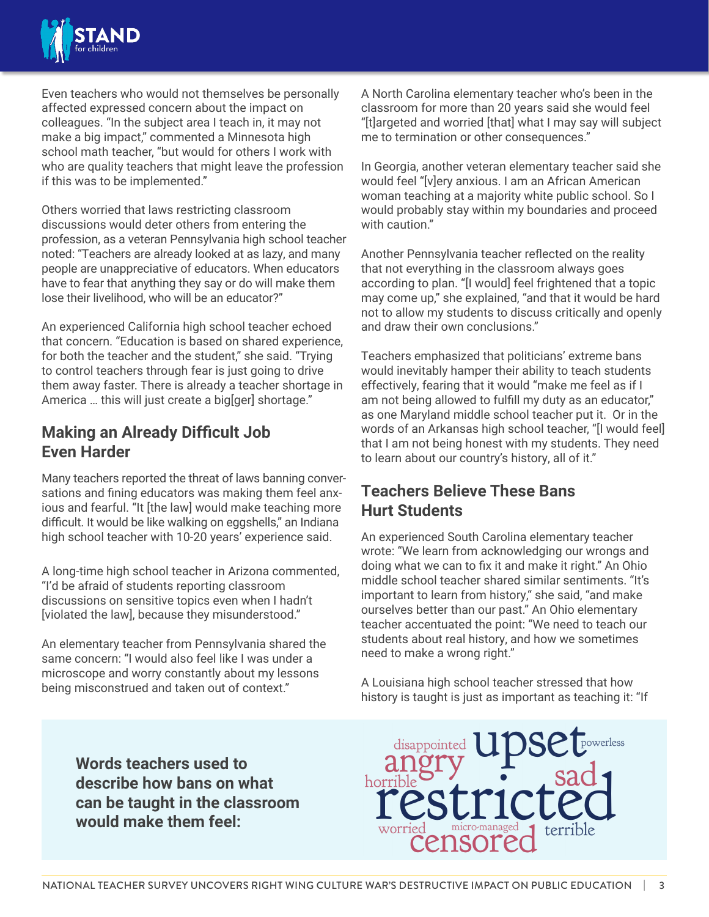

Even teachers who would not themselves be personally affected expressed concern about the impact on colleagues. "In the subject area I teach in, it may not make a big impact," commented a Minnesota high school math teacher, "but would for others I work with who are quality teachers that might leave the profession if this was to be implemented."

Others worried that laws restricting classroom discussions would deter others from entering the profession, as a veteran Pennsylvania high school teacher noted: "Teachers are already looked at as lazy, and many people are unappreciative of educators. When educators have to fear that anything they say or do will make them lose their livelihood, who will be an educator?"

An experienced California high school teacher echoed that concern. "Education is based on shared experience, for both the teacher and the student," she said. "Trying to control teachers through fear is just going to drive them away faster. There is already a teacher shortage in America … this will just create a big[ger] shortage."

#### **Making an Already Difficult Job Even Harder**

Many teachers reported the threat of laws banning conversations and fining educators was making them feel anxious and fearful. "It [the law] would make teaching more difficult. It would be like walking on eggshells," an Indiana high school teacher with 10-20 years' experience said.

A long-time high school teacher in Arizona commented, "I'd be afraid of students reporting classroom discussions on sensitive topics even when I hadn't [violated the law], because they misunderstood."

An elementary teacher from Pennsylvania shared the same concern: "I would also feel like I was under a microscope and worry constantly about my lessons being misconstrued and taken out of context."

A North Carolina elementary teacher who's been in the classroom for more than 20 years said she would feel "[t]argeted and worried [that] what I may say will subject me to termination or other consequences."

In Georgia, another veteran elementary teacher said she would feel "[v]ery anxious. I am an African American woman teaching at a majority white public school. So I would probably stay within my boundaries and proceed with caution."

Another Pennsylvania teacher reflected on the reality that not everything in the classroom always goes according to plan. "[I would] feel frightened that a topic may come up," she explained, "and that it would be hard not to allow my students to discuss critically and openly and draw their own conclusions."

Teachers emphasized that politicians' extreme bans would inevitably hamper their ability to teach students effectively, fearing that it would "make me feel as if I am not being allowed to fulfill my duty as an educator," as one Maryland middle school teacher put it. Or in the words of an Arkansas high school teacher, "[I would feel] that I am not being honest with my students. They need to learn about our country's history, all of it."

### **Teachers Believe These Bans Hurt Students**

An experienced South Carolina elementary teacher wrote: "We learn from acknowledging our wrongs and doing what we can to fix it and make it right." An Ohio middle school teacher shared similar sentiments. "It's important to learn from history," she said, "and make ourselves better than our past." An Ohio elementary teacher accentuated the point: "We need to teach our students about real history, and how we sometimes need to make a wrong right."

A Louisiana high school teacher stressed that how history is taught is just as important as teaching it: "If 11/<sub>17</sub>/21/21, 3:24 PM Word Art 2014

**Words teachers used to describe how bans on what can be taught in the classroom would make them feel:** 

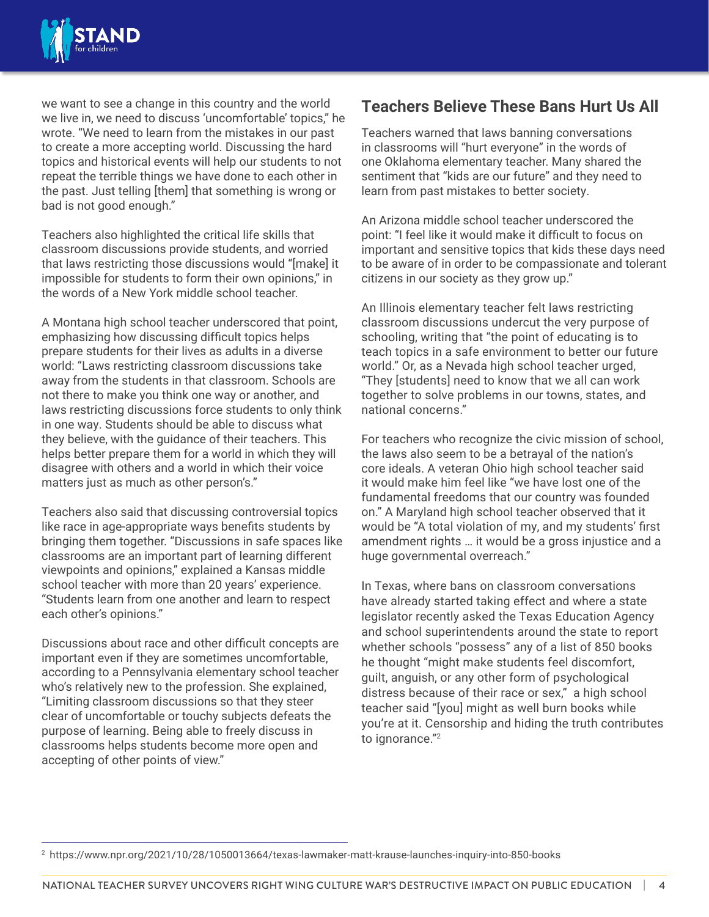

we want to see a change in this country and the world we live in, we need to discuss 'uncomfortable' topics," he wrote. "We need to learn from the mistakes in our past to create a more accepting world. Discussing the hard topics and historical events will help our students to not repeat the terrible things we have done to each other in the past. Just telling [them] that something is wrong or bad is not good enough."

Teachers also highlighted the critical life skills that classroom discussions provide students, and worried that laws restricting those discussions would "[make] it impossible for students to form their own opinions," in the words of a New York middle school teacher.

A Montana high school teacher underscored that point, emphasizing how discussing difficult topics helps prepare students for their lives as adults in a diverse world: "Laws restricting classroom discussions take away from the students in that classroom. Schools are not there to make you think one way or another, and laws restricting discussions force students to only think in one way. Students should be able to discuss what they believe, with the guidance of their teachers. This helps better prepare them for a world in which they will disagree with others and a world in which their voice matters just as much as other person's."

Teachers also said that discussing controversial topics like race in age-appropriate ways benefits students by bringing them together. "Discussions in safe spaces like classrooms are an important part of learning different viewpoints and opinions," explained a Kansas middle school teacher with more than 20 years' experience. "Students learn from one another and learn to respect each other's opinions."

Discussions about race and other difficult concepts are important even if they are sometimes uncomfortable, according to a Pennsylvania elementary school teacher who's relatively new to the profession. She explained, "Limiting classroom discussions so that they steer clear of uncomfortable or touchy subjects defeats the purpose of learning. Being able to freely discuss in classrooms helps students become more open and accepting of other points of view."

#### **Teachers Believe These Bans Hurt Us All**

Teachers warned that laws banning conversations in classrooms will "hurt everyone" in the words of one Oklahoma elementary teacher. Many shared the sentiment that "kids are our future" and they need to learn from past mistakes to better society.

An Arizona middle school teacher underscored the point: "I feel like it would make it difficult to focus on important and sensitive topics that kids these days need to be aware of in order to be compassionate and tolerant citizens in our society as they grow up."

An Illinois elementary teacher felt laws restricting classroom discussions undercut the very purpose of schooling, writing that "the point of educating is to teach topics in a safe environment to better our future world." Or, as a Nevada high school teacher urged, "They [students] need to know that we all can work together to solve problems in our towns, states, and national concerns."

For teachers who recognize the civic mission of school, the laws also seem to be a betrayal of the nation's core ideals. A veteran Ohio high school teacher said it would make him feel like "we have lost one of the fundamental freedoms that our country was founded on." A Maryland high school teacher observed that it would be "A total violation of my, and my students' first amendment rights … it would be a gross injustice and a huge governmental overreach."

In Texas, where bans on classroom conversations have already started taking effect and where a state legislator recently asked the Texas Education Agency and school superintendents around the state to report whether schools "possess" any of a list of 850 books he thought "might make students feel discomfort, guilt, anguish, or any other form of psychological distress because of their race or sex," a high school teacher said "[you] might as well burn books while you're at it. Censorship and hiding the truth contributes to ignorance."<sup>2</sup>

<sup>2</sup> <https://www.npr.org/2021/10/28/1050013664/texas-lawmaker-matt-krause-launches-inquiry-into-850-books>